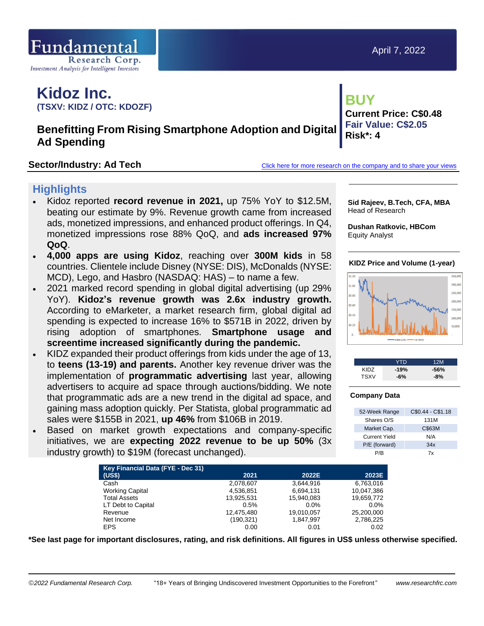

**Current Price: C\$0.48 Fair Value: C\$2.05**

# **Kidoz Inc. (TSXV: KIDZ / OTC: KDOZF)**

# **Benefitting From Rising Smartphone Adoption and Digital Ad Spending**

**Sector/Industry: Ad Tech [Click here for more research on the company and to share your views](https://www.researchfrc.com/website/company/kidz/)** 

**Risk\*: 4**

**BUY**

# **Highlights**

- Kidoz reported **record revenue in 2021,** up 75% YoY to \$12.5M, beating our estimate by 9%. Revenue growth came from increased ads, monetized impressions, and enhanced product offerings. In Q4, monetized impressions rose 88% QoQ, and **ads increased 97% QoQ**.
- **4,000 apps are using Kidoz**, reaching over **300M kids** in 58 countries. Clientele include Disney (NYSE: DIS), McDonalds (NYSE: MCD), Lego, and Hasbro (NASDAQ: HAS) – to name a few.
- 2021 marked record spending in global digital advertising (up 29% YoY). **Kidoz's revenue growth was 2.6x industry growth.** According to eMarketer, a market research firm, global digital ad spending is expected to increase 16% to \$571B in 2022, driven by rising adoption of smartphones. **Smartphone usage and screentime increased significantly during the pandemic.**
- KIDZ expanded their product offerings from kids under the age of 13, to **teens (13-19) and parents.** Another key revenue driver was the implementation of **programmatic advertising** last year, allowing advertisers to acquire ad space through auctions/bidding. We note that programmatic ads are a new trend in the digital ad space, and gaining mass adoption quickly. Per Statista, global programmatic ad sales were \$155B in 2021, **up 46%** from \$106B in 2019.
- Based on market growth expectations and company-specific initiatives, we are **expecting 2022 revenue to be up 50%** (3x industry growth) to \$19M (forecast unchanged).

| Sid Rajeev, B.Tech, CFA, MBA |
|------------------------------|
| Head of Research             |
|                              |

**Dushan Ratkovic, HBCom** Equity Analyst

## **KIDZ Price and Volume (1-year)**





### **Company Data**

| 52-Week Range | C\$0.44 - C\$1.18 |
|---------------|-------------------|
| Shares O/S    | 131M              |
| Market Cap.   | C\$63M            |
| Current Yield | N/A               |
| P/E (forward) | 34x               |
| P/B           | 7x                |

| Key Financial Data (FYE - Dec 31) |            |            |            |
|-----------------------------------|------------|------------|------------|
| (US\$)                            | 2021       | 2022E      | 2023E      |
| Cash                              | 2,078,607  | 3.644.916  | 6,763,016  |
| <b>Working Capital</b>            | 4,536,851  | 6,694,131  | 10.047.386 |
| <b>Total Assets</b>               | 13.925.531 | 15.940.083 | 19.659.772 |
| LT Debt to Capital                | 0.5%       | $0.0\%$    | $0.0\%$    |
| Revenue                           | 12,475,480 | 19,010,057 | 25,200,000 |
| Net Income                        | (190, 321) | 1,847,997  | 2,786,225  |
| <b>EPS</b>                        | 0.00       | 0.01       | 0.02       |

**\*See last page for important disclosures, rating, and risk definitions. All figures in US\$ unless otherwise specified.**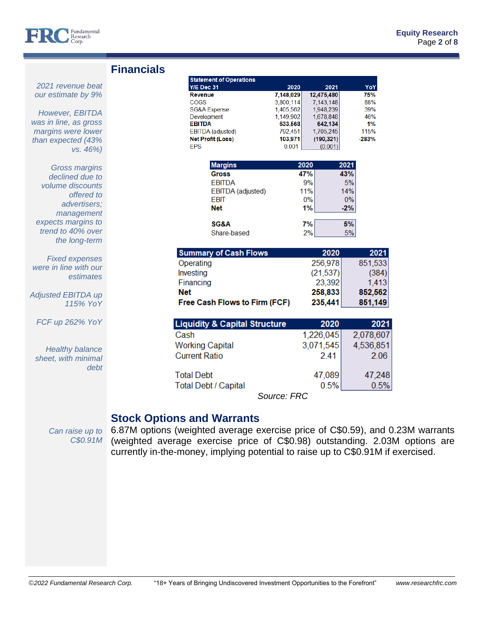

*2021 revenue beat our estimate by 9%*

*However, EBITDA was in line, as gross margins were lower than expected (43%* 

*vs. 46%)*

*offered to advertisers; management expects margins to trend to 40% over the long-term*

*Gross margins declined due to volume discounts* 

*Fixed expenses were in line with our* 

*Adjusted EBITDA up* 

*FCF up 262% YoY*

*Healthy balance sheet, with minimal* 

*estimates*

*115% YoY*

*debt* 

|  | <b>Financials</b> |  |  |
|--|-------------------|--|--|
|  |                   |  |  |

| <b>Statement of Operations</b>                |                    |      |                      |       |            |
|-----------------------------------------------|--------------------|------|----------------------|-------|------------|
| Y/E Dec 31                                    | 2020               |      | 2021                 |       | YoY        |
| Revenue                                       | 7,148,029          |      | 12,475,480           |       | 75%        |
| <b>COGS</b>                                   | 3.800.114          |      | 7.143.148            |       | 88%        |
| <b>SG&amp;A Expense</b>                       | 1,405,562          |      | 1,948,239            |       | 39%        |
| Development                                   | 1,149,902          |      | 1,678,848            |       | 46%        |
| <b>EBITDA</b>                                 | 633,568            |      | 642,134<br>1,705,245 |       | 1%<br>115% |
| EBITDA (adjusted)<br><b>Net Profit (Loss)</b> | 792,451<br>103,971 |      | (190, 321)           |       | $-283%$    |
| <b>FPS</b>                                    | 0.001              |      | (0.001)              |       |            |
|                                               |                    |      |                      |       |            |
| <b>Margins</b>                                |                    | 2020 |                      | 2021  |            |
| <b>Gross</b>                                  |                    | 47%  |                      | 43%   |            |
| <b>EBITDA</b>                                 |                    | 9%   |                      | 5%    |            |
| EBITDA (adjusted)                             |                    | 11%  |                      | 14%   |            |
| <b>EBIT</b>                                   |                    | 0%   |                      | 0%    |            |
| <b>Net</b>                                    |                    | 1%   |                      | $-2%$ |            |
|                                               |                    |      |                      |       |            |
| SG&A                                          |                    | 7%   |                      | 5%    |            |
| Share-based                                   |                    | 2%   |                      | 5%    |            |
|                                               |                    |      |                      |       |            |
| <b>Summary of Cash Flows</b>                  |                    |      | 2020                 |       | 2021       |
| Operating                                     |                    |      | 256,978              |       | 851,533    |
| Investing                                     |                    |      | (21, 537)            |       | (384)      |
| Financing                                     |                    |      | 23,392               |       | 1,413      |
|                                               |                    |      |                      |       |            |
| <b>Net</b>                                    |                    |      | 258,833              |       | 852,562    |
| Free Cash Flows to Firm (FCF)                 |                    |      | 235,441              |       | 851,149    |
|                                               |                    |      |                      |       |            |
| <b>Liquidity &amp; Capital Structure</b>      |                    |      | 2020                 |       | 2021       |
| Cash                                          |                    |      | 1,226,045            |       | 2,078,607  |
| <b>Working Capital</b>                        |                    |      | 3,071,545            |       | 4,536,851  |
| <b>Current Ratio</b>                          |                    |      | 2.41                 |       | 2.06       |
|                                               |                    |      |                      |       |            |
| <b>Total Debt</b>                             |                    |      | 47,089               |       | 47,248     |
| <b>Total Debt / Capital</b>                   |                    |      | 0.5%                 |       | 0.5%       |
|                                               | Source: FRC        |      |                      |       |            |
|                                               |                    |      |                      |       |            |

# **Stock Options and Warrants**

*C\$0.91M* 

*Can raise up to*  6.87M options (weighted average exercise price of C\$0.59), and 0.23M warrants (weighted average exercise price of C\$0.98) outstanding. 2.03M options are currently in-the-money, implying potential to raise up to C\$0.91M if exercised.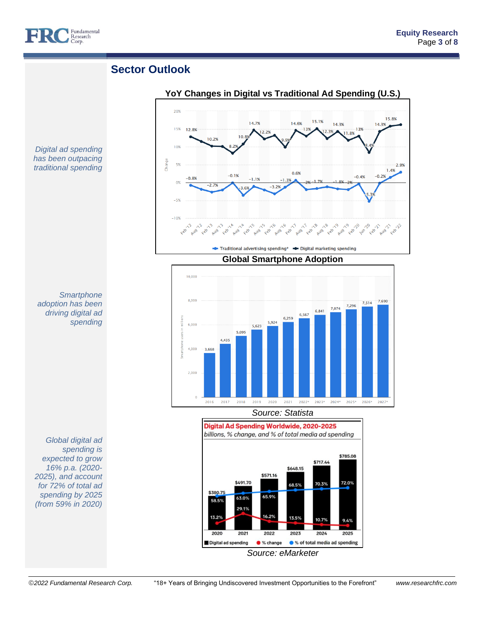

# **Sector Outlook**

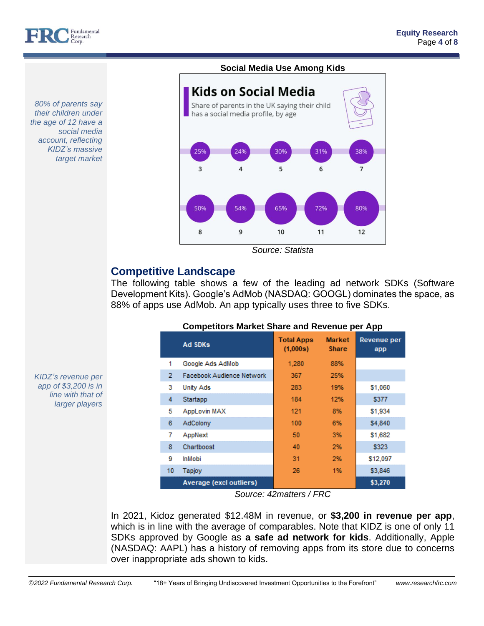

#### *80% of parents say their children under the age of 12 have a social media account, reflecting KIDZ's massive target market*

## **Social Media Use Among Kids**



*Source: Statista*

# **Competitive Landscape**

The following table shows a few of the leading ad network SDKs (Software Development Kits). Google's AdMob (NASDAQ: GOOGL) dominates the space, as 88% of apps use AdMob. An app typically uses three to five SDKs.

|                | <b>Ad SDKs</b>                 | <b>Total Apps</b><br>(1,000s) | <b>Market</b><br><b>Share</b> | Revenue per<br>app |
|----------------|--------------------------------|-------------------------------|-------------------------------|--------------------|
| 1              | Google Ads AdMob               | 1.280                         | 88%                           |                    |
| $\overline{2}$ | Facebook Audience Network      | 367                           | 25%                           |                    |
| 3              | <b>Unity Ads</b>               | 283                           | 19%                           | \$1,060            |
| 4              | Startapp                       | 184                           | 12%                           | \$377              |
| 5              | AppLovin MAX                   | 121                           | 8%                            | \$1,934            |
| 6              | AdColony                       | 100                           | 6%                            | \$4,840            |
| 7              | AppNext                        | 50                            | 3%                            | \$1,682            |
| 8              | Chartboost                     | 40                            | 2%                            | \$323              |
| 9              | <b>InMobi</b>                  | 31                            | 2%                            | \$12,097           |
| 10             | <b>Tapjoy</b>                  | 26                            | 1%                            | \$3,846            |
|                | <b>Average (excl outliers)</b> |                               | $- - -$                       | \$3,270            |

## **Competitors Market Share and Revenue per App**

*Source: 42matters / FRC*

In 2021, Kidoz generated \$12.48M in revenue, or **\$3,200 in revenue per app**, which is in line with the average of comparables. Note that KIDZ is one of only 11 SDKs approved by Google as **a safe ad network for kids**. Additionally, Apple (NASDAQ: AAPL) has a history of removing apps from its store due to concerns over inappropriate ads shown to kids.

*KIDZ's revenue per app of \$3,200 is in line with that of larger players*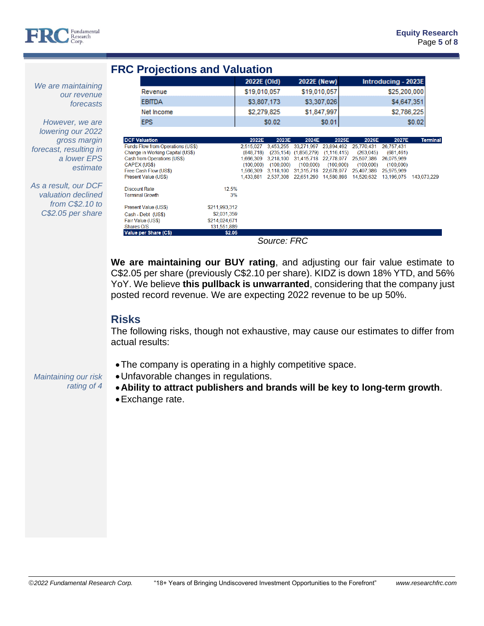

**Terminal** 

# **FRC Projections and Valuation**

|                                   | 2022E (Old)  |           | 2022E (New)                     |                                         |            | Introducing - 2023E |        |
|-----------------------------------|--------------|-----------|---------------------------------|-----------------------------------------|------------|---------------------|--------|
| Revenue                           | \$19,010,057 |           | \$19,010,057                    |                                         |            | \$25,200,000        |        |
| <b>EBITDA</b>                     | \$3,807,173  |           |                                 | \$3,307,026                             |            | \$4,647,351         |        |
| Net Income                        | \$2,279,825  |           |                                 | \$1,847,997                             |            | \$2,786,225         |        |
| <b>EPS</b>                        |              | \$0.02    |                                 | \$0.01                                  |            |                     | \$0.02 |
|                                   |              |           |                                 |                                         |            |                     |        |
| <b>DCF Valuation</b>              | 2022E        | 2023E     | 2024E                           | 2025E                                   | 2026E      | 2027E               |        |
| Funds Flow from Operations (US\$) | 2.515.027    |           | 3.453.255 33.271.997 23.894.492 |                                         | 25.770.431 | 26.757.431          |        |
| Change in Working Capital (US\$)  | (848.718)    |           |                                 | $(235.154)$ $(1.856.279)$ $(1.116.415)$ | (263.045)  | (681, 461)          |        |
| Cash from Operations (US\$)       | 1.666.309    |           | 3.218.100 31.415.718 22.778.077 |                                         | 25,507,386 | 26,075,969          |        |
| CAPFX (11S\$)                     | (100, 000)   | (100,000) | (100, 000)                      | (100, 000)                              | (100, 000) | (100, 000)          |        |

*We are maintaining our revenue forecasts*

*However, we are lowering our 2022 gross margin forecast, resulting in a lower EPS estimate*

*As a result, our DCF valuation declined from C\$2.10 to C\$2.05 per share*

*Maintaining our risk* 

*rating of 4*

*Source: FRC*

1,566,309 3,118,100 31,315,718 22,678,077 25,407,386 25,975,969

1,433,881 2,537,308 22,651,290 14,580,898 14,520,632 13,196,075 143,073,229

**We are maintaining our BUY rating**, and adjusting our fair value estimate to C\$2.05 per share (previously C\$2.10 per share). KIDZ is down 18% YTD, and 56% YoY. We believe **this pullback is unwarranted**, considering that the company just posted record revenue. We are expecting 2022 revenue to be up 50%.

# **Risks**

The following risks, though not exhaustive, may cause our estimates to differ from actual results:

•The company is operating in a highly competitive space.

12.5%

\$211,993,312 \$2,031,359

\$214.024.671

131.551.889

 $$2.05$ 

 $3%$ 

- •Unfavorable changes in regulations.
- •**Ability to attract publishers and brands will be key to long-term growth**.
- •Exchange rate.

Free Cash Flow (US\$)

Present Value (US\$) **Discount Rate** 

Present Value (US\$)

Value per Share (C\$

Cash - Debt (US\$) Fair Value (US\$)

Shares O/S

**Terminal Growth**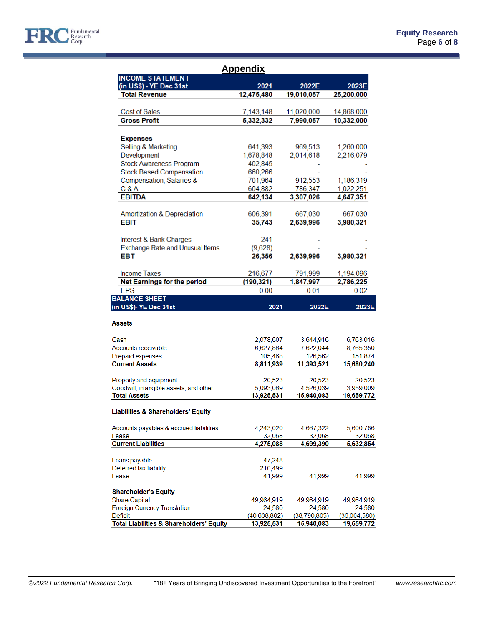

|                                                     | Appendix             |                       |                       |
|-----------------------------------------------------|----------------------|-----------------------|-----------------------|
| <b>INCOME STATEMENT</b><br>(in US\$) - YE Dec 31st  | 2021                 | 2022E                 | 2023E                 |
| <b>Total Revenue</b>                                | 12,475,480           | 19,010,057            | 25,200,000            |
|                                                     |                      |                       |                       |
| <b>Cost of Sales</b>                                | 7,143,148            | 11,020,000            | 14,868,000            |
| <b>Gross Profit</b>                                 | 5,332,332            | 7,990,057             | 10,332,000            |
| <b>Expenses</b>                                     |                      |                       |                       |
| Selling & Marketing                                 | 641,393              | 969,513               | 1,260,000             |
| Development                                         | 1,678,848            | 2,014,618             | 2,216,079             |
| <b>Stock Awareness Program</b>                      | 402,845              |                       |                       |
| <b>Stock Based Compensation</b>                     | 660,266              |                       |                       |
| Compensation, Salaries &                            | 701,964              | 912,553               | 1,186,319             |
| <b>G&amp;A</b>                                      | 604,882              | 786,347               | 1,022,251             |
| <b>EBITDA</b>                                       | 642,134              | 3,307,026             | 4,647,351             |
|                                                     |                      |                       |                       |
| <b>Amortization &amp; Depreciation</b>              | 606,391              | 667,030               | 667,030               |
| <b>EBIT</b>                                         | 35,743               | 2,639,996             | 3,980,321             |
|                                                     |                      |                       |                       |
| Interest & Bank Charges                             | 241                  |                       |                       |
| Exchange Rate and Unusual Items<br>EBT              | (9,628)<br>26,356    | 2,639,996             | 3,980,321             |
|                                                     |                      |                       |                       |
| <b>Income Taxes</b>                                 | 216,677              | 791,999               | 1,194,096             |
| <b>Net Earnings for the period</b>                  | (190, 321)           | 1,847,997             | 2,786,225             |
| <b>EPS</b>                                          | 0.00                 | 0.01                  | 0.02                  |
| <b>BALANCE SHEET</b>                                |                      |                       |                       |
| (in US\$)- YE Dec 31st                              | 2021                 | 2022E                 | 2023E                 |
| <b>Assets</b>                                       |                      |                       |                       |
|                                                     |                      |                       |                       |
| Cash                                                | 2,078,607            | 3,644,916             | 6,763,016             |
| Accounts receivable                                 | 6,627,864            | 7,622,044             | 8,765,350             |
| Prepaid expenses<br><b>Current Assets</b>           | 105,468<br>8,811,939 | 126,562<br>11,393,521 | 151,874<br>15,680,240 |
|                                                     |                      |                       |                       |
| Property and equipment                              | 20,523               | 20,523                | 20,523                |
| Goodwill, intangible assets, and other              | 5,093,069            | 4,526,039             | 3,959,009             |
| <b>Total Assets</b>                                 | 13,925,531           | 15,940,083            | 19,659,772            |
| <b>Liabilities &amp; Shareholders' Equity</b>       |                      |                       |                       |
| Accounts payables & accrued liabilities             | 4,243,020            | 4,667,322             | 5,600,786             |
| Lease                                               | 32,068               | 32,068                | 32,068                |
| <b>Current Liabilities</b>                          | 4,275,088            | 4,699,390             | 5,632,854             |
|                                                     |                      |                       |                       |
| Loans payable                                       | 47,248               |                       |                       |
| Deferred tax liability                              | 210,499              |                       |                       |
| Lease                                               | 41,999               | 41,999                | 41,999                |
| <b>Shareholder's Equity</b>                         |                      |                       |                       |
| <b>Share Capital</b>                                | 49,964,919           | 49,964,919            | 49,964,919            |
| <b>Foreign Currency Translation</b>                 | 24,580               | 24,580                | 24,580                |
| Deficit                                             | (40, 638, 802)       | (38,790,805)          | (36,004,580)          |
| <b>Total Liabilities &amp; Shareholders' Equity</b> | 13,925,531           | 15,940,083            | 19,659,772            |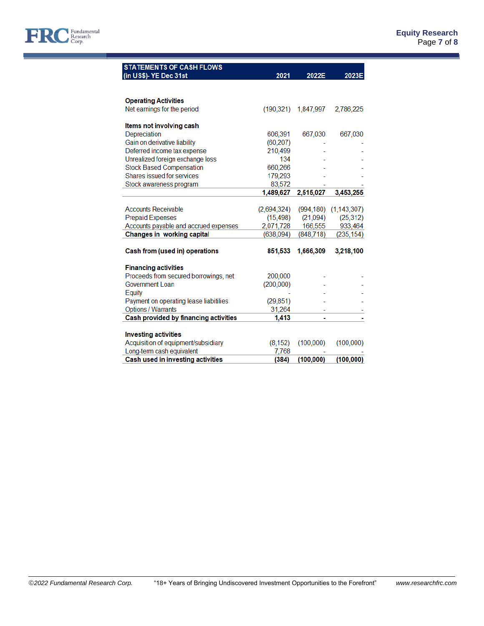

| <b>STATEMENTS OF CASH FLOWS</b>        |             |            |               |
|----------------------------------------|-------------|------------|---------------|
| (in US\$)- YE Dec 31st                 | 2021        | 2022E      | 2023E         |
|                                        |             |            |               |
|                                        |             |            |               |
| <b>Operating Activities</b>            |             |            |               |
| Net earnings for the period            | (190.321)   | 1,847,997  | 2,786,225     |
| Items not involving cash               |             |            |               |
| Depreciation                           | 606,391     | 667,030    | 667,030       |
| Gain on derivative liability           | (60, 207)   |            |               |
| Deferred income tax expense            | 210,499     |            |               |
| Unrealized foreign exchange loss       | 134         |            |               |
| <b>Stock Based Compensation</b>        | 660,266     |            |               |
| Shares issued for services             | 179,293     |            |               |
| Stock awareness program                | 83,572      |            |               |
|                                        | 1,489,627   | 2,515,027  | 3,453,255     |
|                                        |             |            |               |
| <b>Accounts Receivable</b>             | (2,694,324) | (994, 180) | (1, 143, 307) |
| <b>Prepaid Expenses</b>                | (15, 498)   | (21,094)   | (25, 312)     |
| Accounts payable and accrued expenses  | 2,071,728   | 166,555    | 933,464       |
| Changes in working capital             | (638,094)   | (848, 718) | (235, 154)    |
| Cash from (used in) operations         | 851,533     | 1,666,309  | 3,218,100     |
|                                        |             |            |               |
| <b>Financing activities</b>            |             |            |               |
| Proceeds from secured borrowings, net  | 200,000     |            |               |
| Government Loan                        | (200,000)   |            |               |
| Equity                                 |             |            |               |
| Payment on operating lease liabitilies | (29, 851)   |            |               |
| <b>Options / Warrants</b>              | 31,264      |            |               |
| Cash provided by financing activities  | 1,413       | ۰          |               |
|                                        |             |            |               |
| <b>Investing activities</b>            |             |            |               |
| Acquisition of equipment/subsidiary    | (8, 152)    | (100,000)  | (100,000)     |
| Long-term cash equivalent              | 7,768       |            |               |
| Cash used in investing activities      | (384)       | (100, 000) | (100, 000)    |